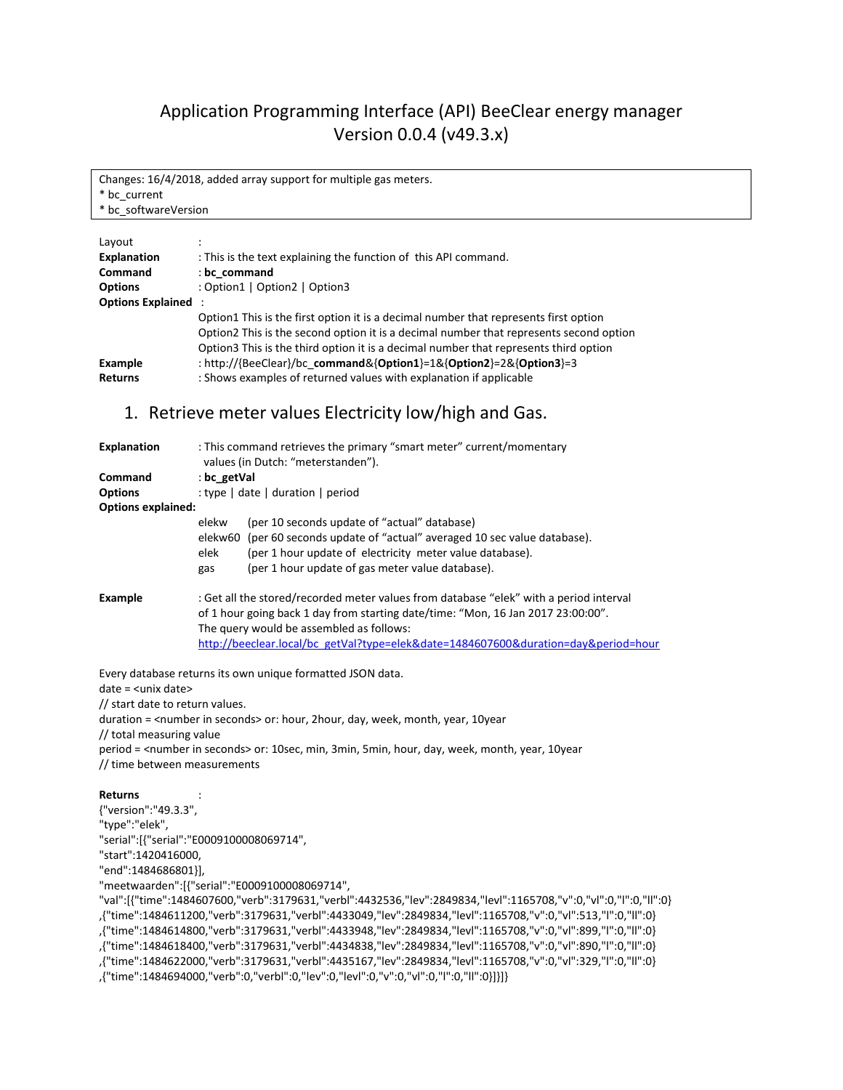# Application Programming Interface (API) BeeClear energy manager Version 0.0.4 (v49.3.x)

Changes: 16/4/2018, added array support for multiple gas meters. \* bc\_current \* bc\_softwareVersion

| Layout                     |                                                                                        |
|----------------------------|----------------------------------------------------------------------------------------|
| <b>Explanation</b>         | : This is the text explaining the function of this API command.                        |
| <b>Command</b>             | : bc command                                                                           |
| <b>Options</b>             | : Option1   Option2   Option3                                                          |
| <b>Options Explained :</b> |                                                                                        |
|                            | Option1 This is the first option it is a decimal number that represents first option   |
|                            | Option2 This is the second option it is a decimal number that represents second option |
|                            | Option3 This is the third option it is a decimal number that represents third option   |
| Example                    | : http://{BeeClear}/bc command&{Option1}=1&{Option2}=2&{Option3}=3                     |
| <b>Returns</b>             | : Shows examples of returned values with explanation if applicable                     |
|                            |                                                                                        |

### 1. Retrieve meter values Electricity low/high and Gas.

| <b>Explanation</b><br>Command<br><b>Options</b><br><b>Options explained:</b> | : This command retrieves the primary "smart meter" current/momentary<br>values (in Dutch: "meterstanden").<br>: bc getVal<br>: type   date   duration   period                                                                                                                                         |  |
|------------------------------------------------------------------------------|--------------------------------------------------------------------------------------------------------------------------------------------------------------------------------------------------------------------------------------------------------------------------------------------------------|--|
|                                                                              | (per 10 seconds update of "actual" database)<br>elekw<br>elekw60 (per 60 seconds update of "actual" averaged 10 sec value database).<br>(per 1 hour update of electricity meter value database).<br>elek<br>(per 1 hour update of gas meter value database).<br>gas                                    |  |
| <b>Example</b>                                                               | : Get all the stored/recorded meter values from database "elek" with a period interval<br>of 1 hour going back 1 day from starting date/time: "Mon, 16 Jan 2017 23:00:00".<br>The query would be assembled as follows:<br>http://beeclear.local/bc_getVal?type=elek&date=1484607600&duration=day.=hour |  |

Every database returns its own unique formatted JSON data.

date = <unix date>

// start date to return values.

duration = <number in seconds> or: hour, 2hour, day, week, month, year, 10year

// total measuring value

period = <number in seconds> or: 10sec, min, 3min, 5min, hour, day, week, month, year, 10year // time between measurements

#### **Returns** :

{"version":"49.3.3", "type":"elek", "serial":[{"serial":"E0009100008069714", "start":1420416000, "end":1484686801}], "meetwaarden":[{"serial":"E0009100008069714", "val":[{"time":1484607600,"verb":3179631,"verbl":4432536,"lev":2849834,"levl":1165708,"v":0,"vl":0,"l":0,"ll":0} ,{"time":1484611200,"verb":3179631,"verbl":4433049,"lev":2849834,"levl":1165708,"v":0,"vl":513,"l":0,"ll":0} ,{"time":1484614800,"verb":3179631,"verbl":4433948,"lev":2849834,"levl":1165708,"v":0,"vl":899,"l":0,"ll":0} ,{"time":1484618400,"verb":3179631,"verbl":4434838,"lev":2849834,"levl":1165708,"v":0,"vl":890,"l":0,"ll":0} ,{"time":1484622000,"verb":3179631,"verbl":4435167,"lev":2849834,"levl":1165708,"v":0,"vl":329,"l":0,"ll":0} ,{"time":1484694000,"verb":0,"verbl":0,"lev":0,"levl":0,"v":0,"vl":0,"l":0,"ll":0}]}]}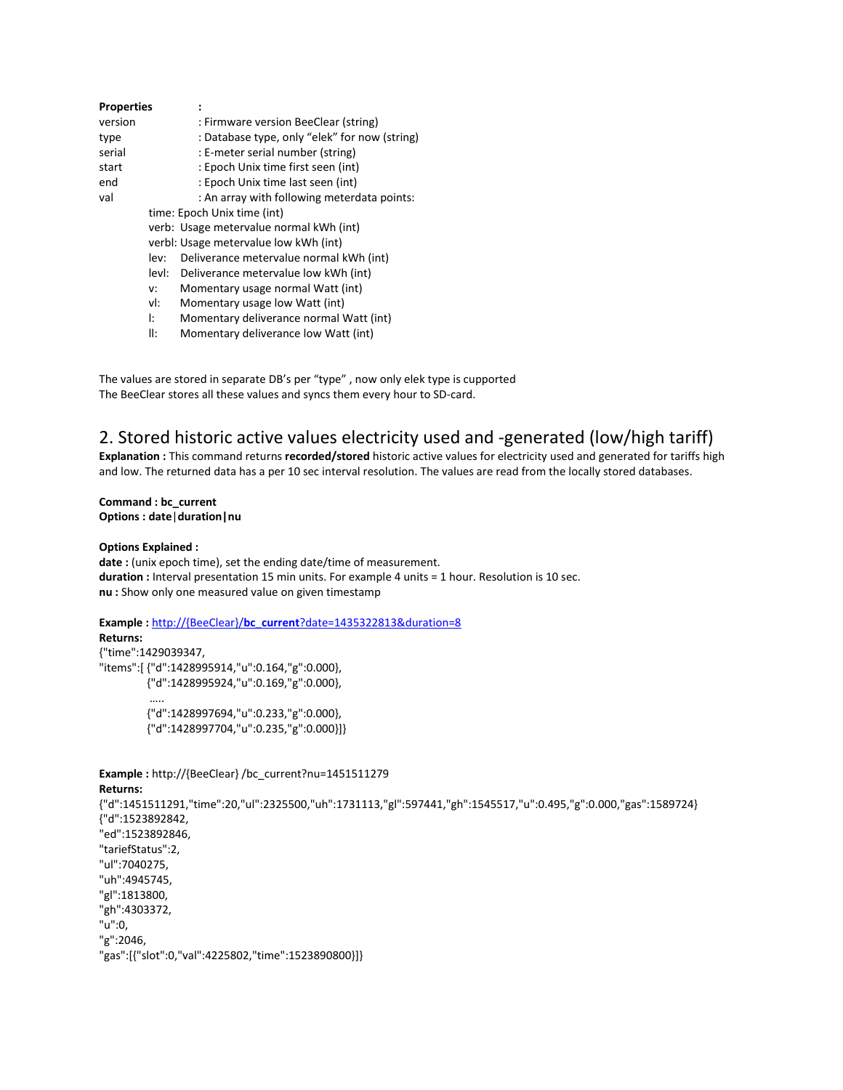| <b>Properties</b> |       |                                               |
|-------------------|-------|-----------------------------------------------|
| version           |       | : Firmware version BeeClear (string)          |
| type              |       | : Database type, only "elek" for now (string) |
| serial            |       | : E-meter serial number (string)              |
| start             |       | : Epoch Unix time first seen (int)            |
| end               |       | : Epoch Unix time last seen (int)             |
| val               |       | : An array with following meterdata points:   |
|                   |       | time: Epoch Unix time (int)                   |
|                   |       | verb: Usage metervalue normal kWh (int)       |
|                   |       | verbl: Usage metervalue low kWh (int)         |
|                   | lev:  | Deliverance metervalue normal kWh (int)       |
|                   | levl: | Deliverance metervalue low kWh (int)          |
|                   | v:    | Momentary usage normal Watt (int)             |
|                   | vl:   | Momentary usage low Watt (int)                |
|                   | Ŀ     | Momentary deliverance normal Watt (int)       |
|                   |       |                                               |

ll: Momentary deliverance low Watt (int)

The values are stored in separate DB's per "type" , now only elek type is cupported The BeeClear stores all these values and syncs them every hour to SD-card.

### 2. Stored historic active values electricity used and -generated (low/high tariff)

**Explanation :** This command returns **recorded/stored** historic active values for electricity used and generated for tariffs high and low. The returned data has a per 10 sec interval resolution. The values are read from the locally stored databases.

### **Command : bc\_current Options : date**|**duration|nu**

#### **Options Explained :**

date : (unix epoch time), set the ending date/time of measurement. **duration :** Interval presentation 15 min units. For example 4 units = 1 hour. Resolution is 10 sec. **nu :** Show only one measured value on given timestamp

### **Example :** http://{BeeClear}/**bc\_current**?date=1435322813&duration=8

**Returns:** {"time":1429039347, "items":[ {"d":1428995914,"u":0.164,"g":0.000}, {"d":1428995924,"u":0.169,"g":0.000}, ….. {"d":1428997694,"u":0.233,"g":0.000},

{"d":1428997704,"u":0.235,"g":0.000}]}

**Example :** http://{BeeClear} /bc\_current?nu=1451511279 **Returns:** {"d":1451511291,"time":20,"ul":2325500,"uh":1731113,"gl":597441,"gh":1545517,"u":0.495,"g":0.000,"gas":1589724} {"d":1523892842, "ed":1523892846, "tariefStatus":2, "ul":7040275, "uh":4945745, "gl":1813800, "gh":4303372, "u":0, "g":2046, "gas":[{"slot":0,"val":4225802,"time":1523890800}]}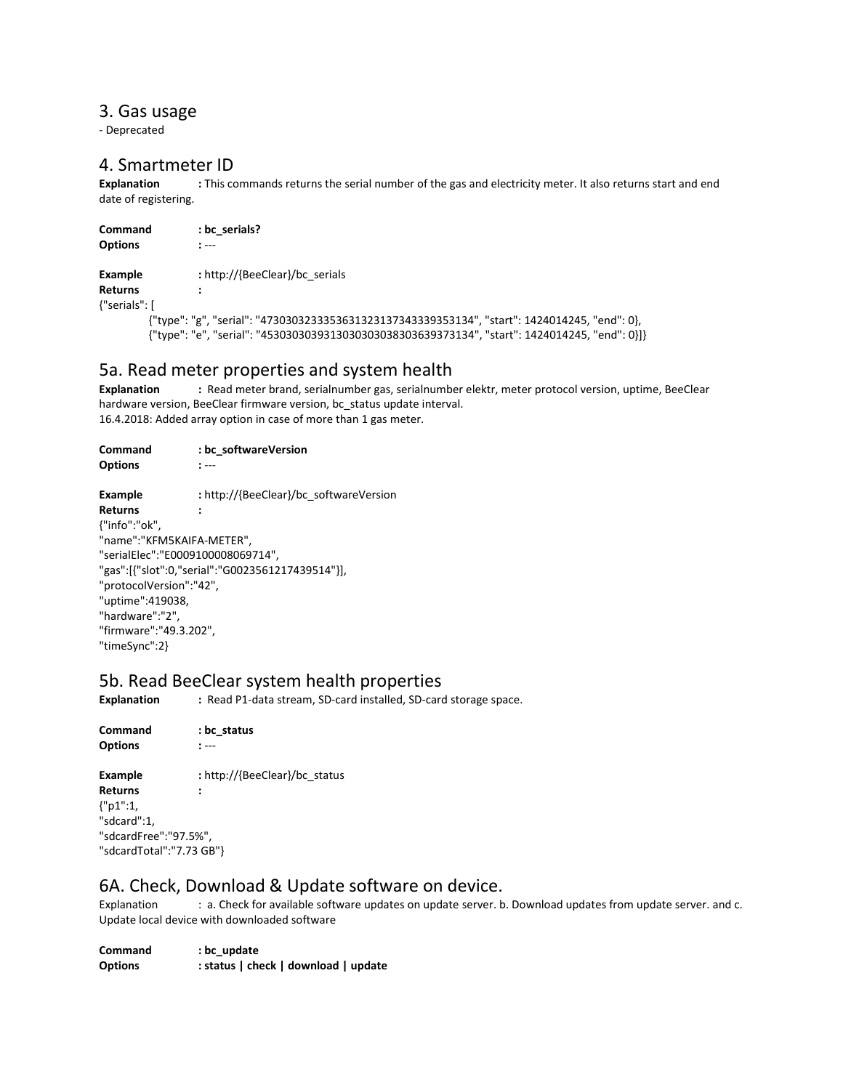### 3. Gas usage

- Deprecated

# 4. Smartmeter ID<br>Explanation : This co

**Explanation :** This commands returns the serial number of the gas and electricity meter. It also returns start and end date of registering.

| <b>Command</b><br><b>Options</b> | : bc serials?<br>$\ddot{\phantom{1}}$                                                          |
|----------------------------------|------------------------------------------------------------------------------------------------|
| Example                          | : http://{BeeClear}/bc_serials                                                                 |
| <b>Returns</b>                   |                                                                                                |
| {"serials": [                    |                                                                                                |
|                                  | {"type": "g", "serial": "4730303233353631323137343339353134", "start": 1424014245, "end": 0},  |
|                                  | {"type": "e", "serial": "4530303039313030303038303639373134", "start": 1424014245, "end": 0}]} |

### 5a. Read meter properties and system health

**Explanation :** Read meter brand, serialnumber gas, serialnumber elektr, meter protocol version, uptime, BeeClear hardware version, BeeClear firmware version, bc\_status update interval. 16.4.2018: Added array option in case of more than 1 gas meter.

| Command                           | : bc softwareVersion                             |  |
|-----------------------------------|--------------------------------------------------|--|
| <b>Options</b>                    | $: ---$                                          |  |
| Example                           | : http://{BeeClear}/bc_softwareVersion           |  |
| Returns                           |                                                  |  |
| {"info":"ok",                     |                                                  |  |
| "name":"KFM5KAIFA-METER",         |                                                  |  |
| "serialElec":"E0009100008069714", |                                                  |  |
|                                   | "gas":[{"slot":0,"serial":"G0023561217439514"}], |  |
| "protocolVersion":"42",           |                                                  |  |
| "uptime":419038,                  |                                                  |  |
| "hardware":"2",                   |                                                  |  |
| "firmware":"49.3.202",            |                                                  |  |
| "timeSync":2}                     |                                                  |  |

# 5b. Read BeeClear system health properties<br>Explanation Explanation Explanation Explanation SE-card installed, SD-card

**Explanation :** Read P1-data stream, SD-card installed, SD-card storage space.

**Command : bc\_status Options :** --- **Example :** http://{BeeClear}/bc\_status **Returns :** {"p1":1, "sdcard":1, "sdcardFree":"97.5%", "sdcardTotal":"7.73 GB"}

### 6A. Check, Download & Update software on device.

Explanation : a. Check for available software updates on update server. b. Download updates from update server. and c. Update local device with downloaded software

| Command        | : bc update                          |
|----------------|--------------------------------------|
| <b>Options</b> | : status   check   download   update |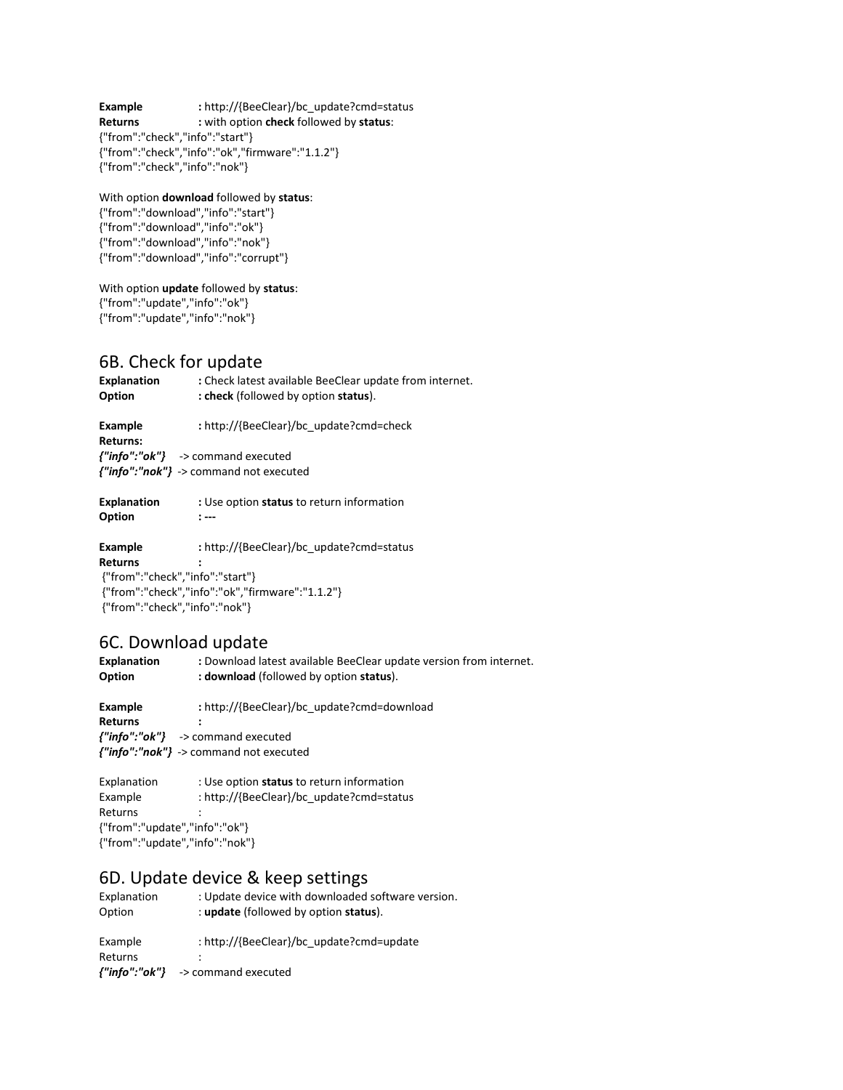**Example :** http://{BeeClear}/bc\_update?cmd=status<br> **Returns :** with option **check** followed by **status**:  $k$  : with option check followed by status: {"from":"check","info":"start"} {"from":"check","info":"ok","firmware":"1.1.2"} {"from":"check","info":"nok"}

### With option **download** followed by **status**:

{"from":"download","info":"start"} {"from":"download","info":"ok"} {"from":"download","info":"nok"} {"from":"download","info":"corrupt"}

### With option **update** followed by **status**:

{"from":"update","info":"ok"} {"from":"update","info":"nok"}

### 6B. Check for update

| <b>Explanation</b><br>Option | : Check latest available BeeClear update from internet.<br>: check (followed by option status). |
|------------------------------|-------------------------------------------------------------------------------------------------|
| Example<br>Returns:          | : http://{BeeClear}/bc_update?cmd=check                                                         |
|                              | ${''info": "ok"\}$ -> command executed<br>${''info''}: "nok"} \rightarrow$ command not executed |

| <b>Explanation</b> | : Use option status to return information |
|--------------------|-------------------------------------------|
| Option             | $\cdot$                                   |

**Example :** http://{BeeClear}/bc\_update?cmd=status

**Returns :** {"from":"check","info":"start"} {"from":"check","info":"ok","firmware":"1.1.2"} {"from":"check","info":"nok"}

### 6C. Download update

| <b>Explanation</b><br>Option | : Download latest available BeeClear update version from internet.<br>: <b>download</b> (followed by option <b>status</b> ). |
|------------------------------|------------------------------------------------------------------------------------------------------------------------------|
| Example                      | : http://{BeeClear}/bc_update?cmd=download                                                                                   |
| <b>Returns</b>               |                                                                                                                              |
|                              | ${''info": "ok"\}$ -> command executed                                                                                       |
|                              | ${''}$ info":"nok"} -> command not executed                                                                                  |
|                              |                                                                                                                              |

Explanation : Use option **status** to return information Example : http://{BeeClear}/bc\_update?cmd=status **Returns** {"from":"update","info":"ok"} {"from":"update","info":"nok"}

### 6D. Update device & keep settings

| Explanation<br>Option | : Update device with downloaded software version.<br>: update (followed by option status). |
|-----------------------|--------------------------------------------------------------------------------------------|
| Example               | : http://{BeeClear}/bc_update?cmd=update                                                   |
| <b>Returns</b>        |                                                                                            |
| {"info":"ok"}         | -> command executed                                                                        |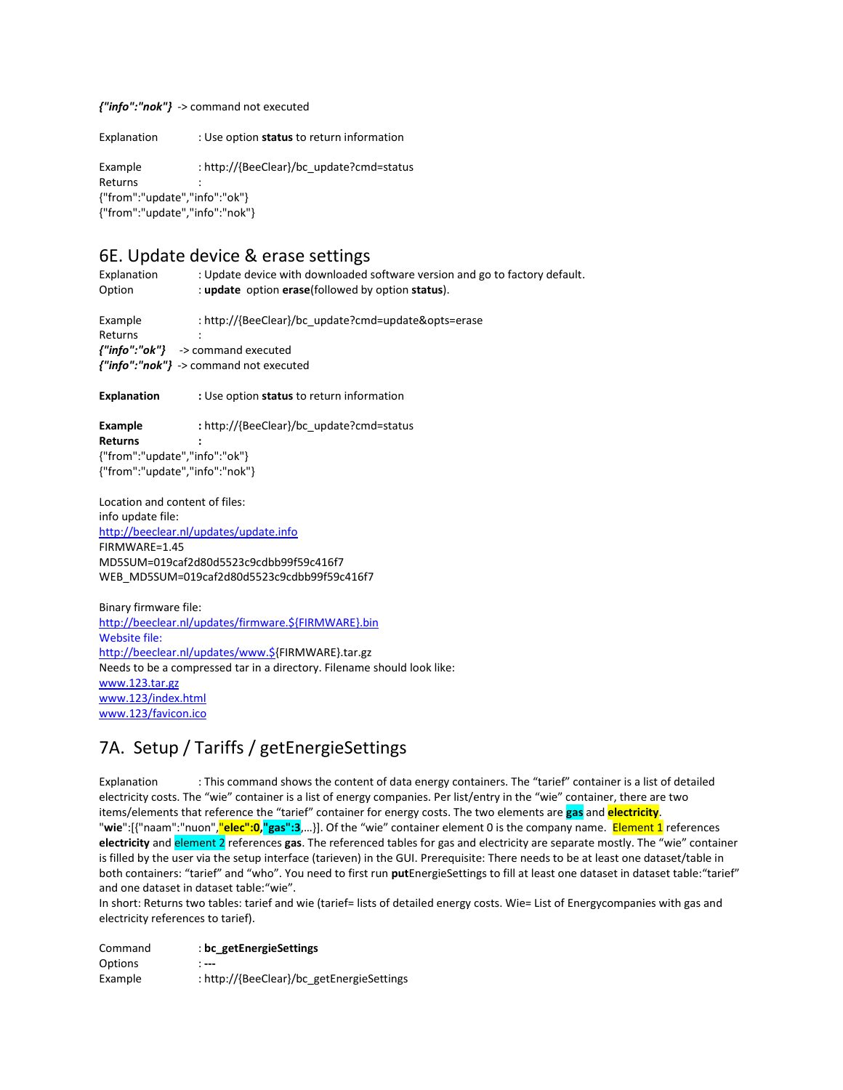#### *{"info":"nok"}* -> command not executed

Explanation : Use option **status** to return information

Example : http://{BeeClear}/bc\_update?cmd=status Returns : {"from":"update","info":"ok"} {"from":"update","info":"nok"}

## 6E. Update device & erase settings

Explanation : Update device with downloaded software version and go to factory default. Option : **update** option **erase**(followed by option **status**).

Example : http://{BeeClear}/bc\_update?cmd=update&opts=erase Returns : *{"info":"ok"}* -> command executed *{"info":"nok"}* -> command not executed

**Explanation :** Use option **status** to return information

**Example :** http://{BeeClear}/bc\_update?cmd=status **Returns :** {"from":"update","info":"ok"} {"from":"update","info":"nok"}

Location and content of files: info update file: <http://beeclear.nl/updates/update.info> FIRMWARE=1.45 MD5SUM=019caf2d80d5523c9cdbb99f59c416f7 WEB\_MD5SUM=019caf2d80d5523c9cdbb99f59c416f7

Binary firmware file: [http://beeclear.nl/updates/firmware.\\${FIRMWARE}.bin](http://beeclear.nl/updates/firmware.$%7bFIRMWARE%7d.bin) Website file: [http://beeclear.nl/updates/www.\\${](http://beeclear.nl/updates/www.$)FIRMWARE}.tar.gz Needs to be a compressed tar in a directory. Filename should look like: [www.123.tar.gz](http://www.123.tar.gz/) [www.123/index.html](http://www.123/index.html) [www.123/favicon.ico](http://www.123/favicon.ico)

## 7A. Setup / Tariffs / getEnergieSettings

Explanation : This command shows the content of data energy containers. The "tarief" container is a list of detailed electricity costs. The "wie" container is a list of energy companies. Per list/entry in the "wie" container, there are two items/elements that reference the "tarief" container for energy costs. The two elements are **gas** and **electricity**. "**wie**":[{"naam":"nuon","**elec":0,"gas":3**,…}]. Of the "wie" container element 0 is the company name. Element 1 references **electricity** and element 2 references **gas**. The referenced tables for gas and electricity are separate mostly. The "wie" container is filled by the user via the setup interface (tarieven) in the GUI. Prerequisite: There needs to be at least one dataset/table in both containers: "tarief" and "who". You need to first run **put**EnergieSettings to fill at least one dataset in dataset table:"tarief" and one dataset in dataset table:"wie".

In short: Returns two tables: tarief and wie (tarief= lists of detailed energy costs. Wie= List of Energycompanies with gas and electricity references to tarief).

| Command | : bc getEnergieSettings                   |
|---------|-------------------------------------------|
| Options | $\hspace{0.05cm} \ldots$                  |
| Example | : http://{BeeClear}/bc_getEnergieSettings |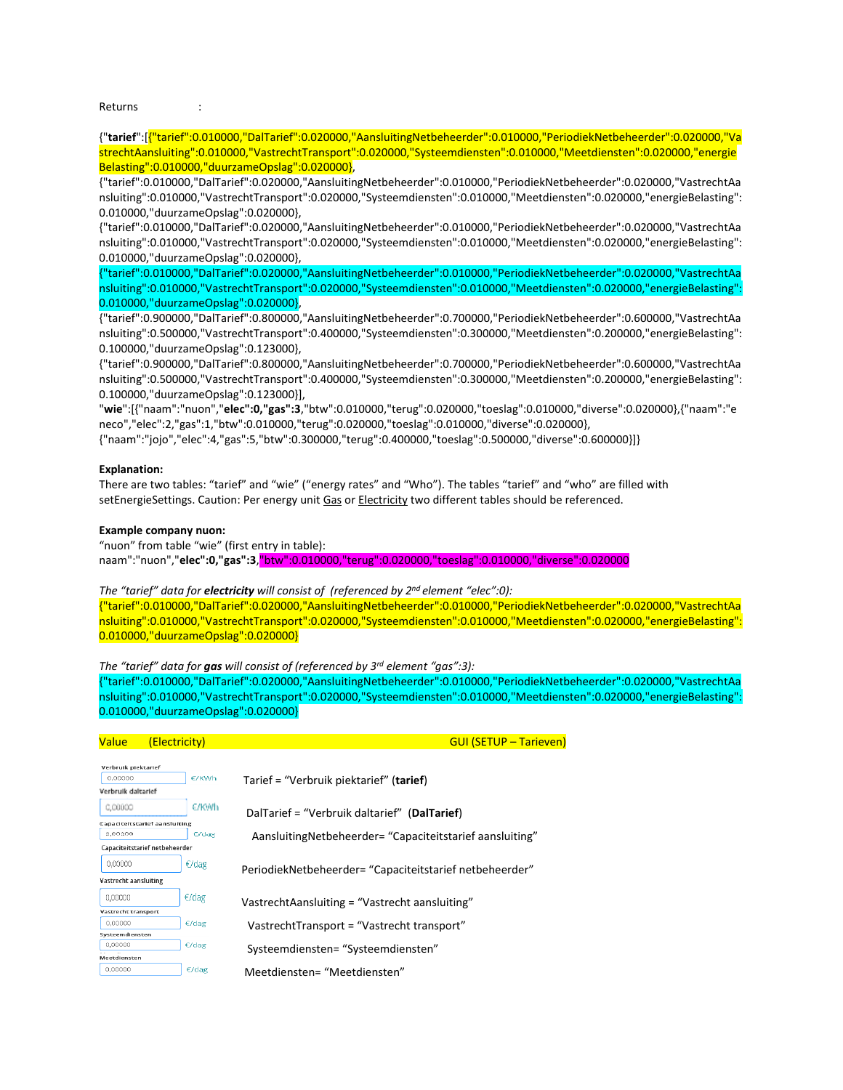Returns :

{"**tarief**":[{"tarief":0.010000,"DalTarief":0.020000,"AansluitingNetbeheerder":0.010000,"PeriodiekNetbeheerder":0.020000,"Va strechtAansluiting":0.010000,"VastrechtTransport":0.020000,"Systeemdiensten":0.010000,"Meetdiensten":0.020000,"energie Belasting":0.010000,"duurzameOpslag":0.020000},

{"tarief":0.010000,"DalTarief":0.020000,"AansluitingNetbeheerder":0.010000,"PeriodiekNetbeheerder":0.020000,"VastrechtAa nsluiting":0.010000,"VastrechtTransport":0.020000,"Systeemdiensten":0.010000,"Meetdiensten":0.020000,"energieBelasting": 0.010000,"duurzameOpslag":0.020000},

{"tarief":0.010000,"DalTarief":0.020000,"AansluitingNetbeheerder":0.010000,"PeriodiekNetbeheerder":0.020000,"VastrechtAa nsluiting":0.010000,"VastrechtTransport":0.020000,"Systeemdiensten":0.010000,"Meetdiensten":0.020000,"energieBelasting": 0.010000,"duurzameOpslag":0.020000},

{"tarief":0.010000,"DalTarief":0.020000,"AansluitingNetbeheerder":0.010000,"PeriodiekNetbeheerder":0.020000,"VastrechtAa nsluiting":0.010000,"VastrechtTransport":0.020000,"Systeemdiensten":0.010000,"Meetdiensten":0.020000,"energieBelasting": 0.010000,"duurzameOpslag":0.020000},

{"tarief":0.900000,"DalTarief":0.800000,"AansluitingNetbeheerder":0.700000,"PeriodiekNetbeheerder":0.600000,"VastrechtAa nsluiting":0.500000,"VastrechtTransport":0.400000,"Systeemdiensten":0.300000,"Meetdiensten":0.200000,"energieBelasting": 0.100000,"duurzameOpslag":0.123000},

{"tarief":0.900000,"DalTarief":0.800000,"AansluitingNetbeheerder":0.700000,"PeriodiekNetbeheerder":0.600000,"VastrechtAa nsluiting":0.500000,"VastrechtTransport":0.400000,"Systeemdiensten":0.300000,"Meetdiensten":0.200000,"energieBelasting": 0.100000,"duurzameOpslag":0.123000}],

"**wie**":[{"naam":"nuon","**elec":0,"gas":3**,"btw":0.010000,"terug":0.020000,"toeslag":0.010000,"diverse":0.020000},{"naam":"e neco","elec":2,"gas":1,"btw":0.010000,"terug":0.020000,"toeslag":0.010000,"diverse":0.020000},

{"naam":"jojo","elec":4,"gas":5,"btw":0.300000,"terug":0.400000,"toeslag":0.500000,"diverse":0.600000}]}

#### **Explanation:**

There are two tables: "tarief" and "wie" ("energy rates" and "Who"). The tables "tarief" and "who" are filled with setEnergieSettings. Caution: Per energy unit Gas or Electricity two different tables should be referenced.

#### **Example company nuon:**

"nuon" from table "wie" (first entry in table):

naam":"nuon","**elec":0,"gas":3**,"btw":0.010000,"terug":0.020000,"toeslag":0.010000,"diverse":0.020000

#### *The "tarief" data for electricity will consist of (referenced by 2nd element "elec":0):*

{"tarief":0.010000,"DalTarief":0.020000,"AansluitingNetbeheerder":0.010000,"PeriodiekNetbeheerder":0.020000,"VastrechtAa nsluiting":0.010000,"VastrechtTransport":0.020000,"Systeemdiensten":0.010000,"Meetdiensten":0.020000,"energieBelasting": 0.010000,"duurzameOpslag":0.020000}

*The "tarief" data for gas will consist of (referenced by 3rd element "gas":3):*

{"tarief":0.010000,"DalTarief":0.020000,"AansluitingNetbeheerder":0.010000,"PeriodiekNetbeheerder":0.020000,"VastrechtAa nsluiting":0.010000,"VastrechtTransport":0.020000,"Systeemdiensten":0.010000,"Meetdiensten":0.020000,"energieBelasting": 0.010000,"duurzameOpslag":0.020000}

| Value                          | (Electricity)                        | <b>GUI (SETUP – Tarieven)</b>                               |
|--------------------------------|--------------------------------------|-------------------------------------------------------------|
|                                |                                      |                                                             |
| Verbruik piektarief<br>0.00000 | E/KWh                                | Tarief = "Verbruik piektarief" (tarief)                     |
| Verbruik daltarief             |                                      |                                                             |
| 0.00000                        | €/KWh                                | DalTarief = "Verbruik daltarief" (DalTarief)                |
|                                | <b>Capaciteitstarief aansluiting</b> |                                                             |
| 3,00300                        | C'dag                                | Aansluiting Netbeheerder = "Capaciteit starief aansluiting" |
|                                | Capaciteitstarief netbeheerder       |                                                             |
| 0,00000                        | $\epsilon$ /dag                      | PeriodiekNetbeheerder= "Capaciteitstarief netbeheerder"     |
| Vastrecht aansluiting          |                                      |                                                             |
| 0,00000                        | $\epsilon$ /dag                      | VastrechtAansluiting = "Vastrecht aansluiting"              |
| Vastrecht transport            |                                      |                                                             |
| 0.00000                        | $\epsilon$ /dag                      | VastrechtTransport = "Vastrecht transport"                  |
| Systeemdiensten                |                                      |                                                             |
| 0,00000                        | $\epsilon$ /dag                      | Systeemdiensten= "Systeemdiensten"                          |
| Meetdiensten                   |                                      |                                                             |
| 0,00000                        | $\epsilon$ /dag                      | Meetdiensten= "Meetdiensten"                                |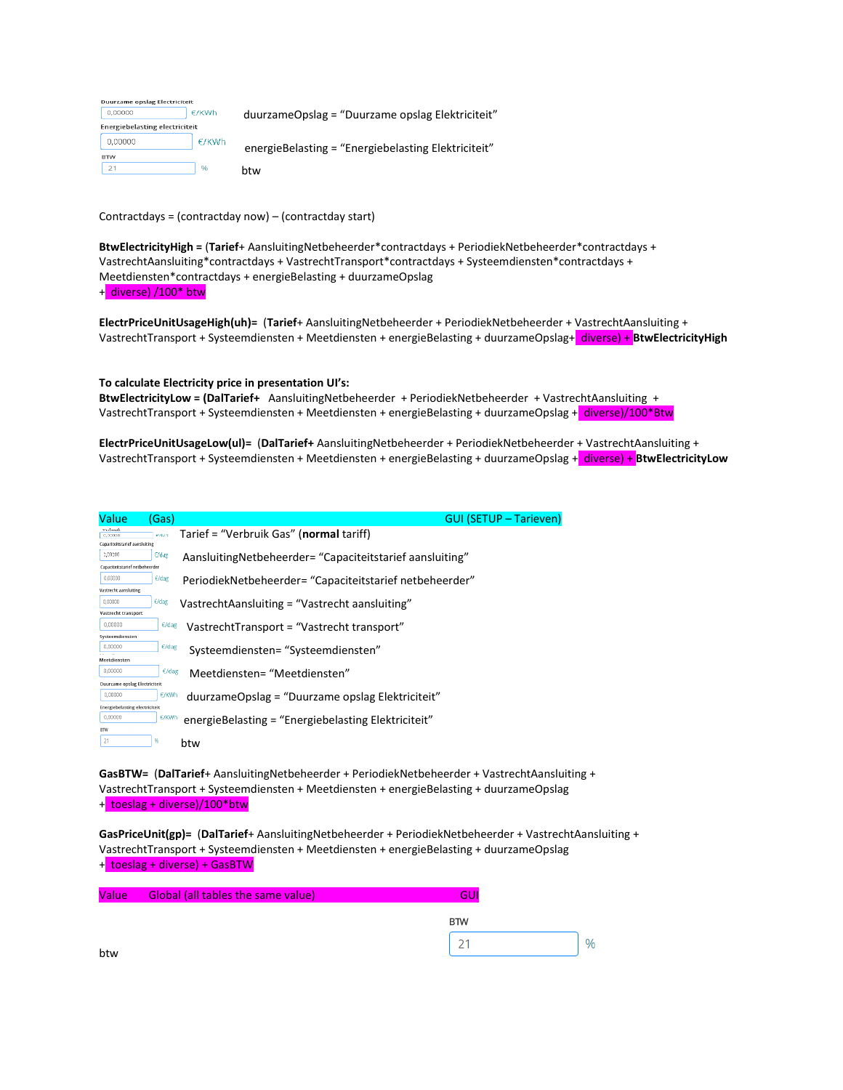| Duurzame opslag Electriciteit  |               |                                                     |
|--------------------------------|---------------|-----------------------------------------------------|
| 0,00000                        | E/KWh         | duurzameOpslag = "Duurzame opslag Elektriciteit"    |
| Energiebelasting electriciteit |               |                                                     |
| 0,00000                        | E/KWh         | energieBelasting = "Energiebelasting Elektriciteit" |
| <b>BTW</b>                     |               |                                                     |
| 21                             | $\frac{9}{6}$ | btw                                                 |

Contractdays = (contractday now) – (contractday start)

**BtwElectricityHigh =** (**Tarief**+ AansluitingNetbeheerder\*contractdays + PeriodiekNetbeheerder\*contractdays + VastrechtAansluiting\*contractdays + VastrechtTransport\*contractdays + Systeemdiensten\*contractdays + Meetdiensten\*contractdays + energieBelasting + duurzameOpslag + diverse) /100\* btw

**ElectrPriceUnitUsageHigh(uh)=** (**Tarief**+ AansluitingNetbeheerder + PeriodiekNetbeheerder + VastrechtAansluiting + VastrechtTransport + Systeemdiensten + Meetdiensten + energieBelasting + duurzameOpslag+ diverse) + **BtwElectricityHigh**

#### **To calculate Electricity price in presentation UI's:**

**BtwElectricityLow = (DalTarief+** AansluitingNetbeheerder + PeriodiekNetbeheerder + VastrechtAansluiting + VastrechtTransport + Systeemdiensten + Meetdiensten + energieBelasting + duurzameOpslag + diverse)/100\*Btw

**ElectrPriceUnitUsageLow(ul)=** (**DalTarief+** AansluitingNetbeheerder + PeriodiekNetbeheerder + VastrechtAansluiting + VastrechtTransport + Systeemdiensten + Meetdiensten + energieBelasting + duurzameOpslag + diverse) + **BtwElectricityLow**

| <b>Value</b>                          | (Gas)           | <b>GUI (SETUP - Tarieven)</b>                               |
|---------------------------------------|-----------------|-------------------------------------------------------------|
| Verbrud<br>0,00000                    | enia            | Tarief = "Verbruik Gas" (normal tariff)                     |
| <b>Capaciteitstarief aansluiting</b>  |                 |                                                             |
| 0.00000                               | <b>C/dag</b>    | Aansluiting Netbeheerder = "Capaciteit starief aansluiting" |
| Capaciteitstarief netbeheerder        |                 |                                                             |
| 0.00000                               | $C$ dag         | PeriodiekNetbeheerder= "Capaciteitstarief netbeheerder"     |
| Vastrecht aansluiting                 |                 |                                                             |
| 0.00000                               | $\epsilon$ /dag | VastrechtAansluiting = "Vastrecht aansluiting"              |
| Vastrecht transport                   |                 |                                                             |
| 0.00000                               | $\epsilon$ /dag | VastrechtTransport = "Vastrecht transport"                  |
| Systeemdiensten                       |                 |                                                             |
| 0,00000                               | $\epsilon$ /dag | Systeemdiensten= "Systeemdiensten"                          |
| Meetdiensten                          |                 |                                                             |
| 0,00000                               | $E$ /dag        | Meetdiensten= "Meetdiensten"                                |
| Duurzame opslag Electriciteit         |                 |                                                             |
| 0.00000                               | €/KWh           | duurzameOpslag = "Duurzame opslag Elektriciteit"            |
| <b>Energiebelasting electriciteit</b> |                 |                                                             |
| 0,00000                               | €/KWh           | energieBelasting = "Energiebelasting Elektriciteit"         |
| <b>BTW</b>                            |                 |                                                             |
| 21                                    | %               | btw                                                         |
|                                       |                 |                                                             |

**GasBTW=** (**DalTarief**+ AansluitingNetbeheerder + PeriodiekNetbeheerder + VastrechtAansluiting + VastrechtTransport + Systeemdiensten + Meetdiensten + energieBelasting + duurzameOpslag + toeslag + diverse)/100\*btw

**GasPriceUnit(gp)=** (**DalTarief**+ AansluitingNetbeheerder + PeriodiekNetbeheerder + VastrechtAansluiting + VastrechtTransport + Systeemdiensten + Meetdiensten + energieBelasting + duurzameOpslag + toeslag + diverse) + GasBTW

| <b>BTW</b> |      |
|------------|------|
| ำา         | $\%$ |
|            |      |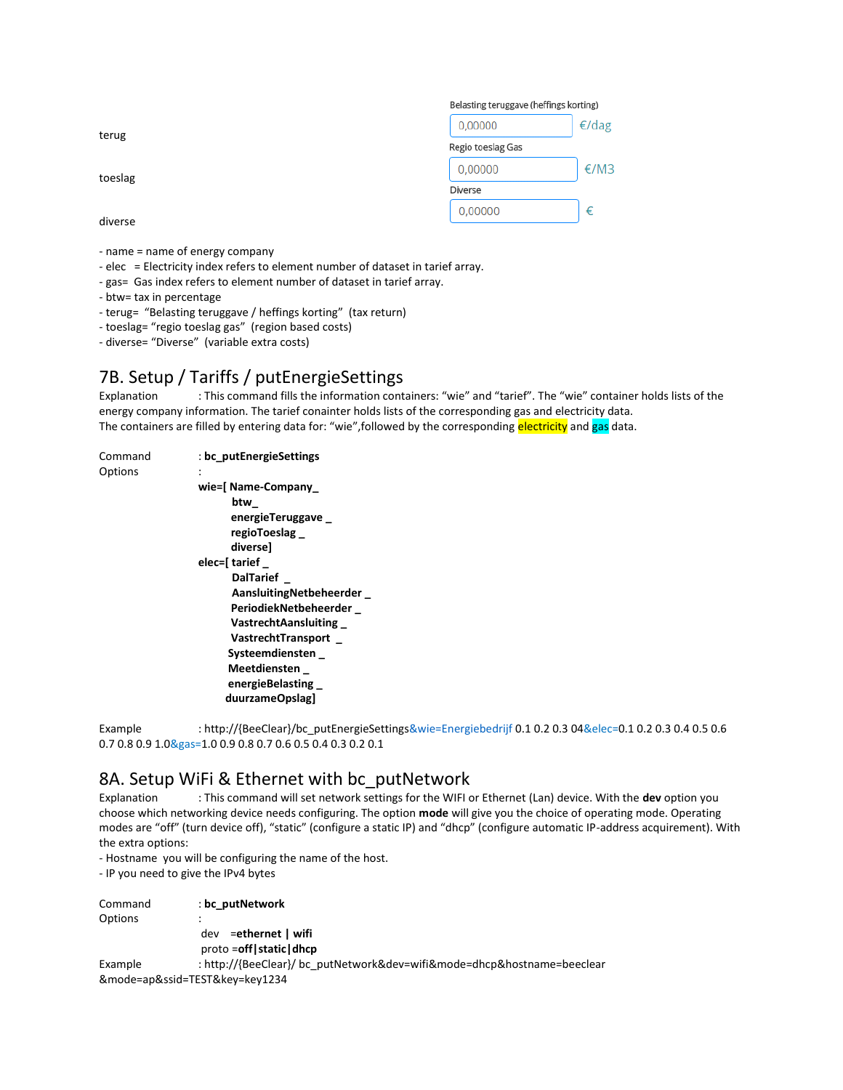|         | Belasting teruggave (heffings korting) |       |
|---------|----------------------------------------|-------|
| terug   | 0,00000                                | €/dag |
|         | Regio toeslag Gas                      |       |
| toeslag | 0,00000                                | €/M3  |
|         | Diverse                                |       |
| diverse | 0,00000                                | €     |
|         |                                        |       |

- name = name of energy company
- elec = Electricity index refers to element number of dataset in tarief array.
- gas= Gas index refers to element number of dataset in tarief array.
- btw= tax in percentage
- terug= "Belasting teruggave / heffings korting" (tax return)
- toeslag= "regio toeslag gas" (region based costs)
- diverse= "Diverse" (variable extra costs)

## 7B. Setup / Tariffs / putEnergieSettings

Explanation : This command fills the information containers: "wie" and "tarief". The "wie" container holds lists of the energy company information. The tarief conainter holds lists of the corresponding gas and electricity data. The containers are filled by entering data for: "wie",followed by the corresponding electricity and gas data.

```
Command : bc_putEnergieSettings
Options
                  wie=[ Name-Company_
                          btw_ 
                          energieTeruggave _ 
                          regioToeslag _ 
                          diverse] 
                   elec=[ tarief _ 
                          DalTarief _
                          AansluitingNetbeheerder _
                          PeriodiekNetbeheerder _
                          VastrechtAansluiting _
                          VastrechtTransport _
                         Systeemdiensten _ 
                         Meetdiensten _ 
                         energieBelasting _ 
                         duurzameOpslag]
```
Example : http://{BeeClear}/bc\_putEnergieSettings&wie=Energiebedrijf 0.1 0.2 0.3 04&elec=0.1 0.2 0.3 0.4 0.5 0.6 0.7 0.8 0.9 1.0&gas=1.0 0.9 0.8 0.7 0.6 0.5 0.4 0.3 0.2 0.1

### 8A. Setup WiFi & Ethernet with bc\_putNetwork

Explanation : This command will set network settings for the WIFI or Ethernet (Lan) device. With the **dev** option you choose which networking device needs configuring. The option **mode** will give you the choice of operating mode. Operating modes are "off" (turn device off), "static" (configure a static IP) and "dhcp" (configure automatic IP-address acquirement). With the extra options:

- Hostname you will be configuring the name of the host.

- IP you need to give the IPv4 bytes

| Command | : bc putNetwork                                                         |
|---------|-------------------------------------------------------------------------|
| Options | ٠                                                                       |
|         | =ethernet   wifi<br>dev                                                 |
|         | $proto = off   static   dhc$                                            |
| Example | : http://{BeeClear}/ bc_putNetwork&dev=wifi&mode=dhcp&hostname=beeclear |
|         | &mode=ap&ssid=TEST&key=key1234                                          |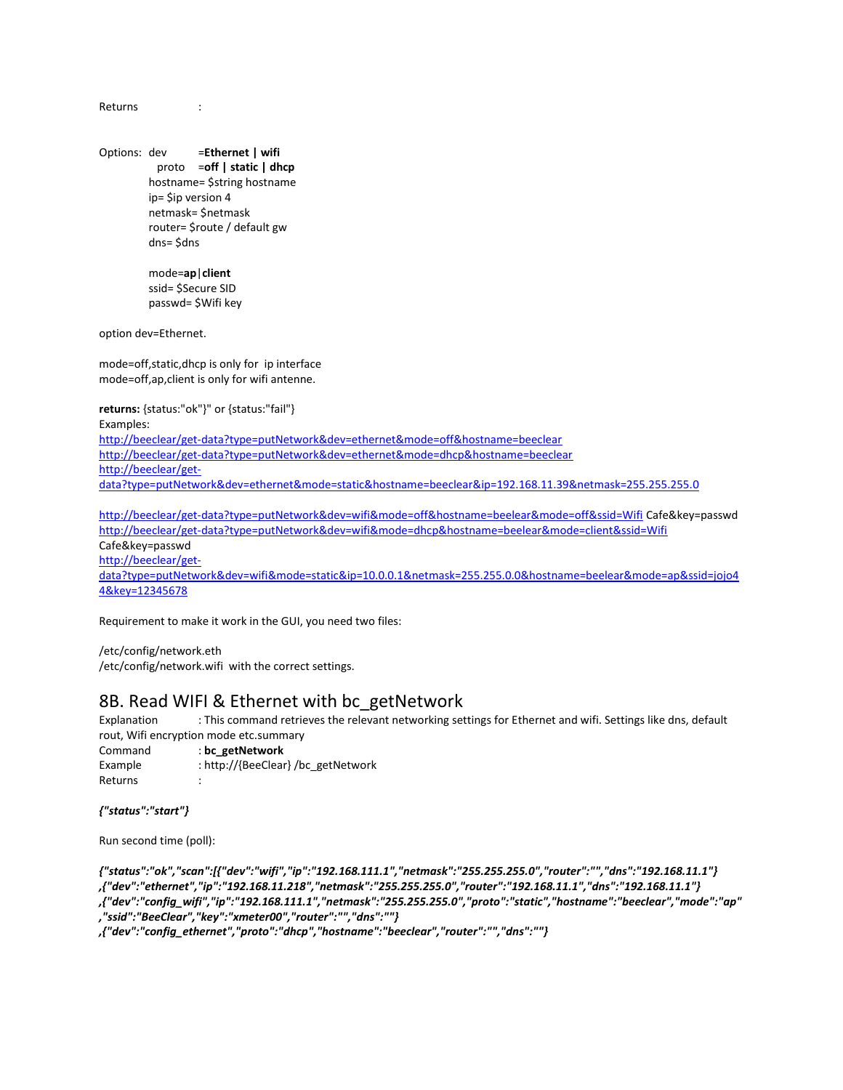Returns :

Options: dev =**Ethernet | wifi** proto =**off | static | dhcp** hostname= \$string hostname ip= \$ip version 4 netmask= \$netmask router= \$route / default gw dns= \$dns

> mode=**ap**|**client** ssid= \$Secure SID passwd= \$Wifi key

option dev=Ethernet.

mode=off,static,dhcp is only for ip interface mode=off,ap,client is only for wifi antenne.

**returns:** {status:"ok"}" or {status:"fail"}

Examples:

<http://beeclear/get-data?type=putNetwork&dev=ethernet&mode=off&hostname=beeclear> <http://beeclear/get-data?type=putNetwork&dev=ethernet&mode=dhcp&hostname=beeclear> [http://beeclear/get](http://beeclear/get-data?type=putNetwork&dev=ethernet&mode=static&hostname=beeclear&ip=192.168.11.39&netmask=255.255.255.0)[data?type=putNetwork&dev=ethernet&mode=static&hostname=beeclear&ip=192.168.11.39&netmask=255.255.255.0](http://beeclear/get-data?type=putNetwork&dev=ethernet&mode=static&hostname=beeclear&ip=192.168.11.39&netmask=255.255.255.0)

<http://beeclear/get-data?type=putNetwork&dev=wifi&mode=off&hostname=beelear&mode=off&ssid=Wifi> Cafe&key=passwd <http://beeclear/get-data?type=putNetwork&dev=wifi&mode=dhcp&hostname=beelear&mode=client&ssid=Wifi> Cafe&key=passwd [http://beeclear/get](http://beeclear/get-data?type=putNetwork&dev=wifi&mode=static&ip=10.0.0.1&netmask=255.255.0.0&hostname=beelear&mode=ap&ssid=jojo44&passwd=12345678)[data?type=putNetwork&dev=wifi&mode=static&ip=10.0.0.1&netmask=255.255.0.0&hostname=beelear&mode=ap&ssid=jojo4](http://beeclear/get-data?type=putNetwork&dev=wifi&mode=static&ip=10.0.0.1&netmask=255.255.0.0&hostname=beelear&mode=ap&ssid=jojo44&passwd=12345678) [4&key=12345678](http://beeclear/get-data?type=putNetwork&dev=wifi&mode=static&ip=10.0.0.1&netmask=255.255.0.0&hostname=beelear&mode=ap&ssid=jojo44&passwd=12345678)

Requirement to make it work in the GUI, you need two files:

/etc/config/network.eth /etc/config/network.wifi with the correct settings.

### 8B. Read WIFI & Ethernet with bc\_getNetwork

Explanation : This command retrieves the relevant networking settings for Ethernet and wifi. Settings like dns, default rout, Wifi encryption mode etc.summary

Command : **bc\_getNetwork** Example : http://{BeeClear} /bc\_getNetwork **Returns** 

### *{"status":"start"}*

Run second time (poll):

*{"status":"ok","scan":[{"dev":"wifi","ip":"192.168.111.1","netmask":"255.255.255.0","router":"","dns":"192.168.11.1"} ,{"dev":"ethernet","ip":"192.168.11.218","netmask":"255.255.255.0","router":"192.168.11.1","dns":"192.168.11.1"} ,{"dev":"config\_wifi","ip":"192.168.111.1","netmask":"255.255.255.0","proto":"static","hostname":"beeclear","mode":"ap" ,"ssid":"BeeClear","key":"xmeter00","router":"","dns":""}*

*,{"dev":"config\_ethernet","proto":"dhcp","hostname":"beeclear","router":"","dns":""}*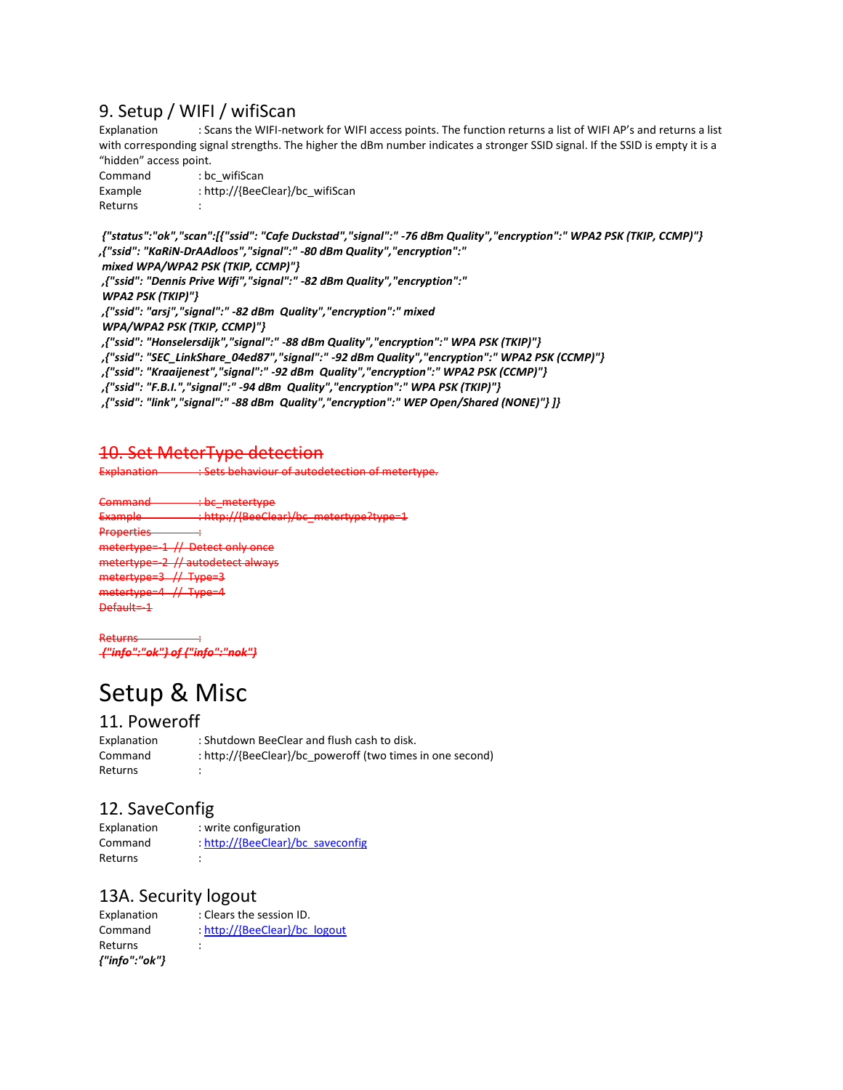## 9. Setup / WIFI / wifiScan

Explanation : Scans the WIFI-network for WIFI access points. The function returns a list of WIFI AP's and returns a list with corresponding signal strengths. The higher the dBm number indicates a stronger SSID signal. If the SSID is empty it is a "hidden" access point.

Command : bc\_wifiScan Example : http://{BeeClear}/bc\_wifiScan Returns :

*{"status":"ok","scan":[{"ssid": "Cafe Duckstad","signal":" -76 dBm Quality","encryption":" WPA2 PSK (TKIP, CCMP)"} ,{"ssid": "KaRiN-DrAAdloos","signal":" -80 dBm Quality","encryption":"*

*mixed WPA/WPA2 PSK (TKIP, CCMP)"} ,{"ssid": "Dennis Prive Wifi","signal":" -82 dBm Quality","encryption":" WPA2 PSK (TKIP)"} ,{"ssid": "arsj","signal":" -82 dBm Quality","encryption":" mixed WPA/WPA2 PSK (TKIP, CCMP)"} ,{"ssid": "Honselersdijk","signal":" -88 dBm Quality","encryption":" WPA PSK (TKIP)"} ,{"ssid": "SEC\_LinkShare\_04ed87","signal":" -92 dBm Quality","encryption":" WPA2 PSK (CCMP)"} ,{"ssid": "Kraaijenest","signal":" -92 dBm Quality","encryption":" WPA2 PSK (CCMP)"} ,{"ssid": "F.B.I.","signal":" -94 dBm Quality","encryption":" WPA PSK (TKIP)"} ,{"ssid": "link","signal":" -88 dBm Quality","encryption":" WEP Open/Shared (NONE)"} ]}*

### 10. Set MeterType detection

Explanation : Sets behaviour of autodetection of metertype.

bc\_metertype http://{BeeClear} Properties : **// Detect only once** metertype=-2 // autodetect always metertype=3 // Type=3 metertype=4 // Type Default=-1

Returns : *{"info":"ok"} of {"info":"nok"}*

# Setup & Misc

### 11. Poweroff

Explanation : Shutdown BeeClear and flush cash to disk. Command : http://{BeeClear}/bc\_poweroff (two times in one second) **Returns** 

# 12. SaveConfig

Explanation : write configuration Command : http://{BeeClear}/bc\_saveconfig Returns :

### 13A. Security logout

Explanation : Clears the session ID. Command : http://{BeeClear}/bc\_logout Returns : *{"info":"ok"}*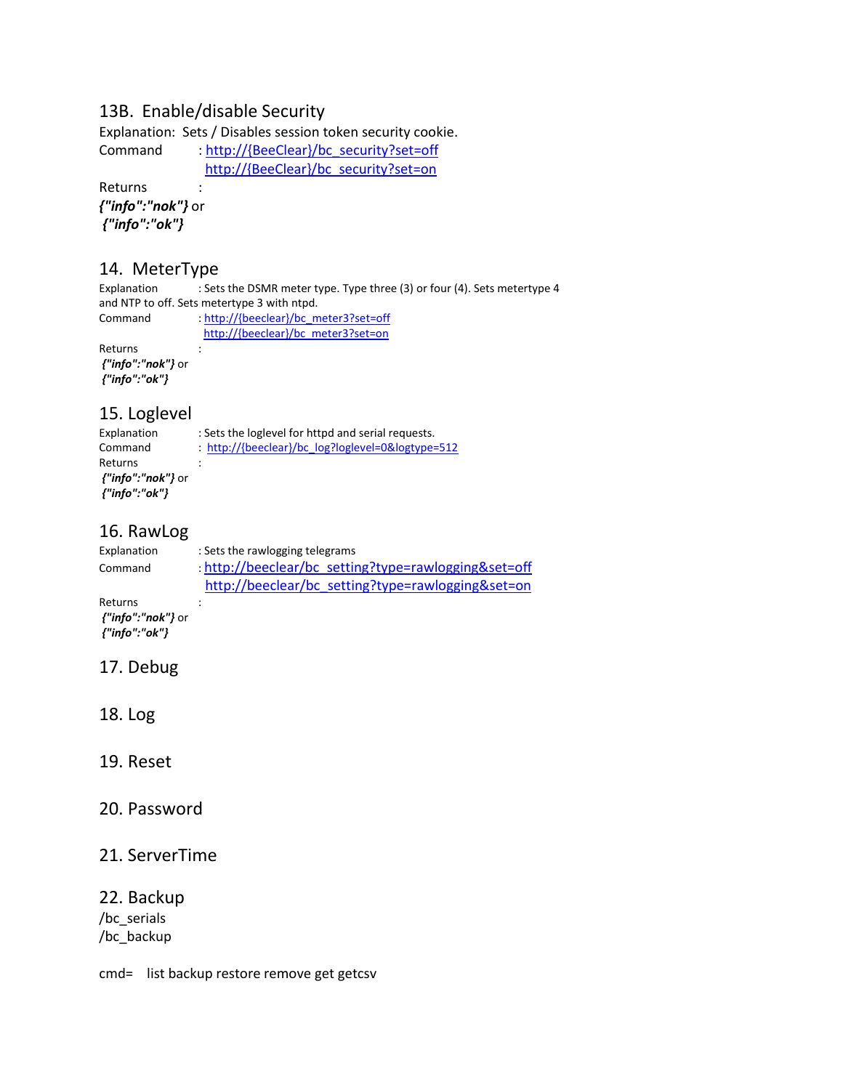### 13B. Enable/disable Security

Explanation: Sets / Disables session token security cookie. Command : http://{BeeClear}/bc\_security?set=off http://{BeeClear}/bc\_security?set=on

Returns :

*{"info":"nok"}* or *{"info":"ok"}*

# **14. MeterType**<br>Explanation : Set:

: Sets the DSMR meter type. Type three (3) or four (4). Sets metertype 4 and NTP to off. Sets metertype 3 with ntpd.

Command : http://{beeclear}/bc\_meter3?set=off http://{beeclear}/bc\_meter3?set=on Returns :

*{"info":"nok"}* or *{"info":"ok"}*

### 15. Loglevel

| Explanation   | : Sets the loglevel for httpd and serial requests. |
|---------------|----------------------------------------------------|
| Command       | : http://{beeclear}/bc log?loglevel=0&logtype=512  |
| Returns       |                                                    |
|               |                                                    |
| {"info":"ok"} |                                                    |

### 16. RawLog

| Explanation | : Sets the rawlogging telegrams                      |  |  |
|-------------|------------------------------------------------------|--|--|
| Command     | : http://beeclear/bc setting?type=rawlogging&set=off |  |  |
|             | http://beeclear/bc setting?type=rawlogging&set=on    |  |  |
| Returns     |                                                      |  |  |

*{"info":"nok"}* or *{"info":"ok"}*

## 17. Debug

18. Log

### 19. Reset

### 20. Password

### 21. ServerTime

### 22. Backup

/bc\_serials /bc\_backup

cmd= list backup restore remove get getcsv